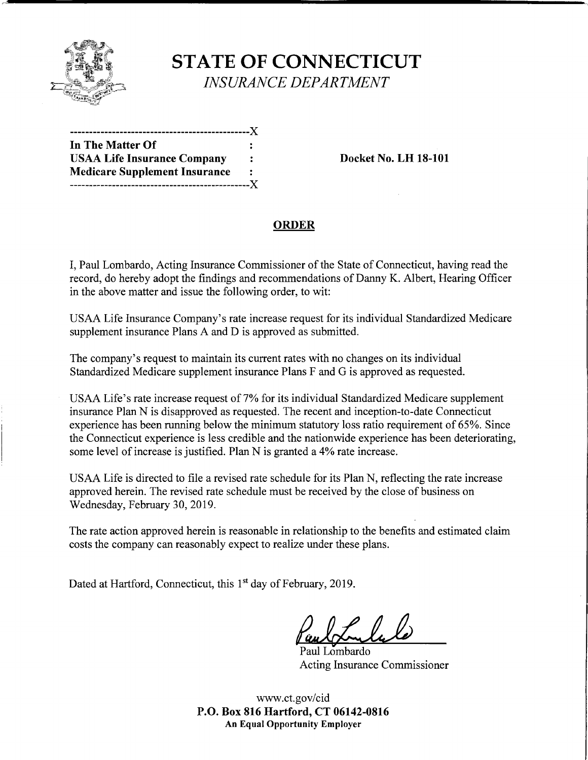

# **STATE OF CONNECTICUT**

*INSURANCE DEPARTMENT* 

| In The Matter Of                     |   |
|--------------------------------------|---|
| <b>USAA Life Insurance Company</b>   | ÷ |
| <b>Medicare Supplement Insurance</b> |   |
|                                      |   |

**Docket No. LH 18-101** 

### **ORDER**

I, Paul Lombardo, Acting Insurance Commissioner ofthe State of Connecticut, having read the record, do hereby adopt the findings and recommendations of Danny K. Albert, Hearing Officer in the above matter and issue the following order, to wit:

USAA Life Insurance Company's rate increase request for its individual Standardized Medicare supplement insurance Plans A and D is approved as submitted.

The company's request to maintain its current rates with no changes on its individual Standardized Medicare supplement insurance Plans F and G is approved as requested.

USAA Life's rate increase request of 7% for its individual Standardized Medicare supplement insurance Plan N is disapproved as requested. The recent and inception-to-date Connecticut experience has been running below the minimum statutory loss ratio requirement of 65%. Since the Connecticut experience is less credible and the nationwide experience has been deteriorating, some level of increase is justified. Plan N is granted a 4% rate increase.

USAA Life is directed to file a revised rate schedule for its Plan N, reflecting the rate increase approved herein. The revised rate schedule must be received by the close of business on Wednesday, February 30, 2019.

The rate action approved herein is reasonable in relationship to the benefits and estimated claim costs the company can reasonably expect to realize under these plans.

Dated at Hartford, Connecticut, this 1<sup>st</sup> day of February, 2019.

Paul Lombardo Acting Insurance Commissioner

www.ct.gov/cid **P.O. Box 816 Hartford, CT 06142-0816 An Equal Opportunity Employer**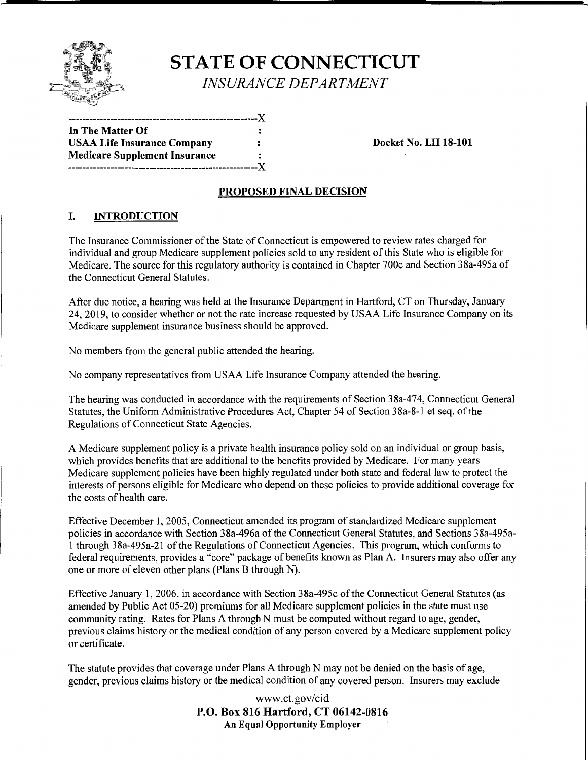

## **STATE OF CONNECTICUT**  *INSURANCE DEPARTMENT*

------------------------------------------------------)( **In The Matter Of**  USAA Life Insurance Company  $\qquad \qquad :$  Docket No. LH 18-101 **Medicare Supplement Insurance**  ------------------------------------------------------)(

#### **PROPOSED FINAL DECISION**

#### I. **INTRODUCTION**

The Insurance Commissioner ofthe State of Connecticut is empowered to review rates charged for individual and group Medicare supplement policies sold to any resident of this State who is eligible for Medicare. The source for this regulatory authority is contained in Chapter 700c and Section 38a-495a of the Connecticut General Statutes.

After due notice, a hearing was held at the Insurance Department in Hartford, CT on Thursday, January 24, 2019, to consider whether or not the rate increase requested by USAA Life Insurance Company on its Medicare supplement insurance business should be approved.

No members from the general public attended the hearing.

No company representatives from USAA Life Insurance Company attended the hearing.

The hearing was conducted in accordance with the requirements of Section 38a-474, Connecticut General Statutes, the Uniform Administrative Procedures Act, Chapter 54 of Section 38a-8-1 et seq. of the Regulations of Connecticut State Agencies.

A Medicare supplement policy is a private health insurance policy sold on an individual or group basis, which provides benefits that are additional to the benefits provided by Medicare. For many years Medicare supplement policies have been highly regulated under both state and federal law to protect the interests of persons eligible for Medicare who depend on these policies to provide additional coverage for the costs of health care.

Effective December 1, 2005, Connecticut amended its program of standardized Medicare supplement policies in accordance with Section 38a-496a of the Connecticut General Statutes, and Sections 38a-495a-1 through 38a-495a-21 of the Regulations of Connecticut Agencies. This program, which conforms to federal requirements, provides a "core" package of benefits known as Plan A. Insurers may also offer any one or more of eleven other plans (Plans B through N).

Effective January 1, 2006, in accordance with Section 38a-495c of the Connecticut General Statutes (as amended by Public Act 05-20) premiums for all Medicare supplement policies in the state must use community rating. Rates for Plans A through N must be computed without regard to age, gender, previous claims history or the medical condition of any person covered by a Medicare supplement policy or certificate.

The statute provides that coverage under Plans A through N may not be denied on the basis of age, gender, previous claims history or the medical condition of any covered person. Insurers may exclude

> www.ct.gov/cid **P.O. Box 816 Hartford, CT 06142-0816 An Equal Opportunity Employer**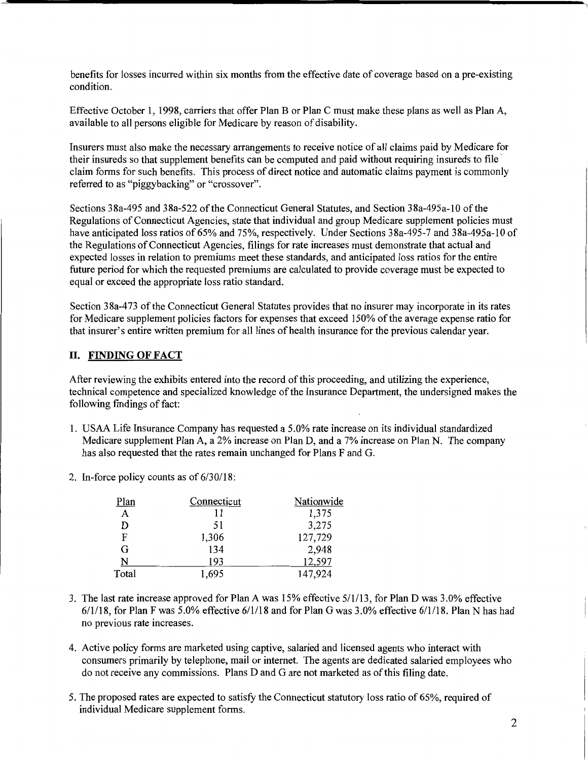benefits for losses incurred within six months from the effective date of coverage based on a pre-existing condition.

Effective October 1, 1998, carriers that offer Plan B or Plan C must make these plans as well as Plan A, available to all persons eligible for Medicare by reason of disability.

Insurers must also make the necessary arrangements to receive notice of all claims paid by Medicare for their insureds so that supplement benefits can be computed and paid without requiring insureds to file claim forms for such benefits. This process of direct notice and automatic claims payment is commonly referred to as "piggybacking" or "crossover".

Sections 38a-495 and 38a-522 of the Connecticut General Statutes, and Section 38a-495a-10 of the Regulations of Connecticut Agencies, state that individual and group Medicare supplement policies must have anticipated loss ratios of 65% and 75%, respectively. Under Sections 38a-495-7 and 38a-495a-10 of the Regulations of Connecticut Agencies, filings for rate increases must demonstrate that actual and expected losses in relation to premiums meet these standards, and anticipated loss ratios for the entire future period for which the requested premiums are calculated to provide coverage must be expected to equal or exceed the appropriate loss ratio standard.

Section 38a-473 of the Connecticut General Statutes provides that no insurer may incorporate in its rates for Medicare supplement policies factors for expenses that exceed 150% of the average expense ratio for that insurer's entire written premium for all lines of health insurance for the previous calendar year.

#### II. **FINDING OF FACT**

After reviewing the exhibits entered into the record ofthis proceeding, and utilizing the experience, technical competence and specialized knowledge of the Insurance Department, the undersigned makes the following findings of fact:

- 1. USAA Life Insurance Company has requested a 5.0% rate increase on its individual standardized Medicare supplement Plan A, a 2% increase on Plan D, and a 7% increase on Plan N. The company has also requested that the rates remain unchanged for Plans F and G.
- 2. In-force policy counts as of 6/30/18:

| Plan  | Connecticut | Nationwide |
|-------|-------------|------------|
| A     | 11          | 1,375      |
| D     | 51          | 3,275      |
| F     | 1,306       | 127,729    |
| G     | 134         | 2,948      |
| N     | 193         | 12,597     |
| Total | 1,695       | 147,924    |

- 3. The last rate increase approved for Plan A was 15% effective 5/1/13, for Plan D was 3.0% effective 6/1/18, for Plan F was 5.0% effective 6/1/18 and for Plan G was 3.0% effective 6/1/18. Plan N has had no previous rate increases.
- 4. Active policy forms are marketed using captive, salaried and licensed agents who interact with consumers primarily by telephone, mail or internet. The agents are dedicated salaried employees who do not receive any commissions. Plans D and G are not marketed as of this filing date.
- 5. The proposed rates are expected to satisfy the Connecticut statutory loss ratio of 65%, required of individual Medicare supplement forms.